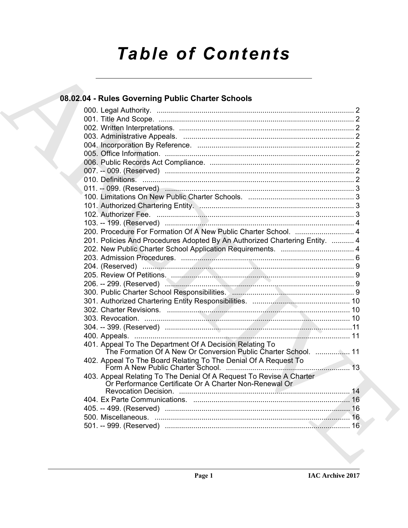# **Table of Contents**

### 08.02.04 - Rules Governing Public Charter Schools

|  | 200. Procedure For Formation Of A New Public Charter School.  4                                                               |  |
|--|-------------------------------------------------------------------------------------------------------------------------------|--|
|  | 201. Policies And Procedures Adopted By An Authorized Chartering Entity.  4                                                   |  |
|  |                                                                                                                               |  |
|  |                                                                                                                               |  |
|  |                                                                                                                               |  |
|  |                                                                                                                               |  |
|  |                                                                                                                               |  |
|  |                                                                                                                               |  |
|  |                                                                                                                               |  |
|  |                                                                                                                               |  |
|  |                                                                                                                               |  |
|  |                                                                                                                               |  |
|  |                                                                                                                               |  |
|  | 401. Appeal To The Department Of A Decision Relating To<br>The Formation Of A New Or Conversion Public Charter School.  11    |  |
|  | 402. Appeal To The Board Relating To The Denial Of A Request To                                                               |  |
|  | 403. Appeal Relating To The Denial Of A Request To Revise A Charter<br>Or Performance Certificate Or A Charter Non-Renewal Or |  |
|  |                                                                                                                               |  |
|  |                                                                                                                               |  |
|  |                                                                                                                               |  |
|  |                                                                                                                               |  |
|  |                                                                                                                               |  |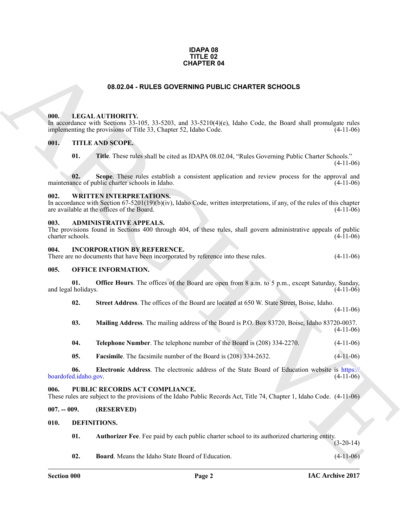#### **IDAPA 08 TITLE 02 CHAPTER 04**

#### **08.02.04 - RULES GOVERNING PUBLIC CHARTER SCHOOLS**

#### <span id="page-1-1"></span><span id="page-1-0"></span>**000. LEGAL AUTHORITY.**

**CHAPTER 04**<br> **CHAL ALTIFORITY:** (65, 31, 520, and 33, 31, 620, i.e.d. b) CHARTER SCHOOLS<br>
(a) LEGAL ALTIFORITY: (65, 31, 520, and 33, 31, 620, col. b). End is fould shall prominizes rule<br>
(a) TITLE AND SCOPE.<br>
(b) TITLE In accordance with Sections 33-105, 33-5203, and 33-5210(4)(e), Idaho Code, the Board shall promulgate rules implementing the provisions of Title 33, Chapter 52, Idaho Code. (4-11-06)

#### <span id="page-1-2"></span>**001. TITLE AND SCOPE.**

**01. Title**. These rules shall be cited as IDAPA 08.02.04, "Rules Governing Public Charter Schools."  $(4-11-06)$ 

**02.** Scope. These rules establish a consistent application and review process for the approval and nece of public charter schools in Idaho. (4-11-06) maintenance of public charter schools in Idaho.

#### <span id="page-1-3"></span>**002. WRITTEN INTERPRETATIONS.**

In accordance with Section  $67-5201(19)(b)(iv)$ , Idaho Code, written interpretations, if any, of the rules of this chapter are available at the offices of the Board. (4-11-06)

#### <span id="page-1-4"></span>**003. ADMINISTRATIVE APPEALS.**

| The provisions found in Sections 400 through 404, of these rules, shall govern administrative appeals of public |  |  |  |  |  |             |
|-----------------------------------------------------------------------------------------------------------------|--|--|--|--|--|-------------|
| charter schools.                                                                                                |  |  |  |  |  | $(4-11-06)$ |

#### <span id="page-1-5"></span>**004. INCORPORATION BY REFERENCE.**

| There are no documents that have been incorporated by reference into these rules. |  | $(4-11-06)$ |
|-----------------------------------------------------------------------------------|--|-------------|
|                                                                                   |  |             |

#### <span id="page-1-6"></span>**005. OFFICE INFORMATION.**

**01. Office Hours**. The offices of the Board are open from 8 a.m. to 5 p.m., except Saturday, Sunday, and legal holidays. (4-11-06)

**02. Street Address**. The offices of the Board are located at 650 W. State Street, Boise, Idaho.

- **03. Mailing Address**. The mailing address of the Board is P.O. Box 83720, Boise, Idaho 83720-0037. (4-11-06)
- **04. Telephone Number**. The telephone number of the Board is (208) 334-2270. (4-11-06)
- **05. Facsimile**. The facsimile number of the Board is (208) 334-2632. (4-11-06)

**06. Electronic Address**. The electronic address of the State Board of Education website is https:// boardofed.idaho.gov. (4-11-06)

#### <span id="page-1-7"></span>**006. PUBLIC RECORDS ACT COMPLIANCE.**

These rules are subject to the provisions of the Idaho Public Records Act, Title 74, Chapter 1, Idaho Code. (4-11-06)

<span id="page-1-8"></span>**007. -- 009. (RESERVED)**

#### <span id="page-1-9"></span>**010. DEFINITIONS.**

<span id="page-1-11"></span><span id="page-1-10"></span>**01. Authorizer Fee**. Fee paid by each public charter school to its authorized chartering entity.

(3-20-14)

(4-11-06)

<span id="page-1-12"></span>**02. Board**. Means the Idaho State Board of Education. (4-11-06)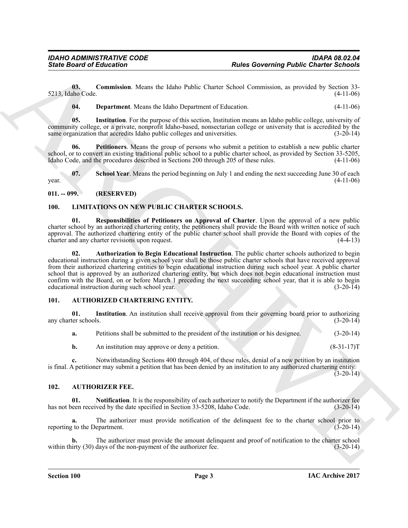**03. Commission**. Means the Idaho Public Charter School Commission, as provided by Section 33- 5213, Idaho Code. (4-11-06)

<span id="page-2-11"></span><span id="page-2-10"></span><span id="page-2-9"></span><span id="page-2-8"></span>**04. Department**. Means the Idaho Department of Education. (4-11-06)

**05. Institution**. For the purpose of this section, Institution means an Idaho public college, university of community college, or a private, nonprofit Idaho-based, nonsectarian college or university that is accredited by the same organization that accredits Idaho public colleges and universities. (3-20-14)

**06. Petitioners**. Means the group of persons who submit a petition to establish a new public charter school, or to convert an existing traditional public school to a public charter school, as provided by Section 33-5205, Idaho Code, and the procedures described in Sections 200 through 205 of these rules. (4-11-06) Idaho Code, and the procedures described in Sections 200 through 205 of these rules.

<span id="page-2-12"></span>**07.** School Year. Means the period beginning on July 1 and ending the next succeeding June 30 of each (4-11-06)  $\frac{1}{4}$  year. (4-11-06)

<span id="page-2-0"></span>**011. -- 099. (RESERVED)**

#### <span id="page-2-15"></span><span id="page-2-13"></span><span id="page-2-1"></span>**100. LIMITATIONS ON NEW PUBLIC CHARTER SCHOOLS.**

<span id="page-2-14"></span>**01. Responsibilities of Petitioners on Approval of Charter**. Upon the approval of a new public charter school by an authorized chartering entity, the petitioners shall provide the Board with written notice of such approval. The authorized chartering entity of the public charter school shall provide the Board with copies of the charter and any charter revisions upon request. (4-4-13)

Sinte Board of Entremotion Counter that the behicle Characteristics and the set of the set of the set of the set of the set of the set of the set of the set of the set of the set of the set of the set of the set of the se **02. Authorization to Begin Educational Instruction**. The public charter schools authorized to begin educational instruction during a given school year shall be those public charter schools that have received approval from their authorized chartering entities to begin educational instruction during such school year. A public charter school that is approved by an authorized chartering entity, but which does not begin educational instruction must confirm with the Board, on or before March 1 preceding the next succeeding school year, that it is able to begin educational instruction during such school year. (3-20-14) educational instruction during such school year.

#### <span id="page-2-4"></span><span id="page-2-2"></span>**101. AUTHORIZED CHARTERING ENTITY.**

**01.** Institution. An institution shall receive approval from their governing board prior to authorizing ter schools. (3-20-14) any charter schools.

<span id="page-2-5"></span>

|  |  | Petitions shall be submitted to the president of the institution or his designee. | $(3-20-14)$ |
|--|--|-----------------------------------------------------------------------------------|-------------|
|  |  |                                                                                   |             |

**b.** An institution may approve or deny a petition. (8-31-17)

**c.** Notwithstanding Sections 400 through 404, of these rules, denial of a new petition by an institution is final. A petitioner may submit a petition that has been denied by an institution to any authorized chartering entity.  $(3-20-14)$ 

#### <span id="page-2-6"></span><span id="page-2-3"></span>**102. AUTHORIZER FEE.**

<span id="page-2-7"></span>**01. Notification**. It is the responsibility of each authorizer to notify the Department if the authorizer fee een received by the date specified in Section 33-5208, Idaho Code. (3-20-14) has not been received by the date specified in Section 33-5208, Idaho Code.

**a.** The authorizer must provide notification of the delinquent fee to the charter school prior to reporting to the Department. (3-20-14)

**b.** The authorizer must provide the amount delinquent and proof of notification to the charter school irty (30) days of the non-payment of the authorizer fee. (3-20-14) within thirty  $(30)$  days of the non-payment of the authorizer fee.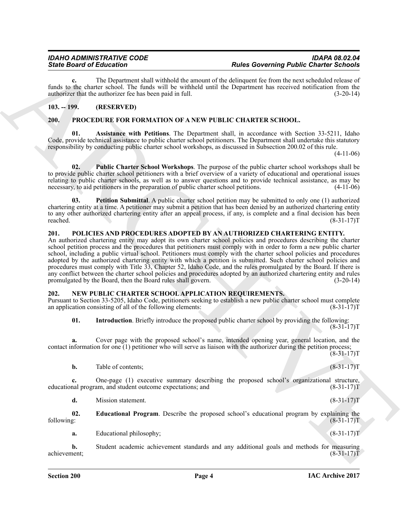**c.** The Department shall withhold the amount of the delinquent fee from the next scheduled release of funds to the charter school. The funds will be withheld until the Department has received notification from the authorizer that the authorizer fee has been paid in full. (3-20-14)

#### <span id="page-3-0"></span>**103. -- 199. (RESERVED)**

#### <span id="page-3-9"></span><span id="page-3-8"></span><span id="page-3-1"></span>**200. PROCEDURE FOR FORMATION OF A NEW PUBLIC CHARTER SCHOOL.**

**01. Assistance with Petitions**. The Department shall, in accordance with Section 33-5211, Idaho Code, provide technical assistance to public charter school petitioners. The Department shall undertake this statutory responsibility by conducting public charter school workshops, as discussed in Subsection 200.02 of this rule.

(4-11-06)

<span id="page-3-11"></span>**02. Public Charter School Workshops**. The purpose of the public charter school workshops shall be to provide public charter school petitioners with a brief overview of a variety of educational and operational issues relating to public charter schools, as well as to answer questions and to provide technical assistance, as may be necessary, to aid petitioners in the preparation of public charter school petitions. (4-11-06) necessary, to aid petitioners in the preparation of public charter school petitions.

<span id="page-3-10"></span>**Petition Submittal.** A public charter school petition may be submitted to only one (1) authorized chartering entity at a time. A petitioner may submit a petition that has been denied by an authorized chartering entity to any other authorized chartering entity after an appeal process, if any, is complete and a final decision has been<br>reached. (8-31-17) reached. (8-31-17)T

#### <span id="page-3-7"></span><span id="page-3-2"></span>**201. POLICIES AND PROCEDURES ADOPTED BY AN AUTHORIZED CHARTERING ENTITY.**

Since Board of Elixcomina of the bandwidth statement of the bandwidth policin for Debt Control Policin (Exclusive Elixcomina) ( $\mu$  and the statement of the bandwidth statement of the bandwidth and the statement of the ba An authorized chartering entity may adopt its own charter school policies and procedures describing the charter school petition process and the procedures that petitioners must comply with in order to form a new public charter school, including a public virtual school. Petitioners must comply with the charter school policies and procedures adopted by the authorized chartering entity with which a petition is submitted. Such charter school policies and procedures must comply with Title 33, Chapter 52, Idaho Code, and the rules promulgated by the Board. If there is any conflict between the charter school policies and procedures adopted by an authorized chartering entity and rules promulgated by the Board, then the Board rules shall govern. (3-20-14)

#### <span id="page-3-4"></span><span id="page-3-3"></span>**NEW PUBLIC CHARTER SCHOOL APPLICATION REQUIREMENTS.**

Pursuant to Section 33-5205, Idaho Code, petitioners seeking to establish a new public charter school must complete an application consisting of all of the following elements:

<span id="page-3-6"></span>**01. Introduction**. Briefly introduce the proposed public charter school by providing the following:  $(8-31-17)T$ 

**a.** Cover page with the proposed school's name, intended opening year, general location, and the contact information for one (1) petitioner who will serve as liaison with the authorizer during the petition process;  $(8-31-17)T$ 

**b.** Table of contents; (8-31-17)T

**c.** One-page (1) executive summary describing the proposed school's organizational structure, educational program, and student outcome expectations; and (8-31-17)T

<span id="page-3-5"></span>**d.** Mission statement. (8-31-17)T

**02. Educational Program**. Describe the proposed school's educational program by explaining the following: (8-31-17)T

**a.** Educational philosophy; (8-31-17)T

**b.** Student academic achievement standards and any additional goals and methods for measuring achievement; (8-31-17)T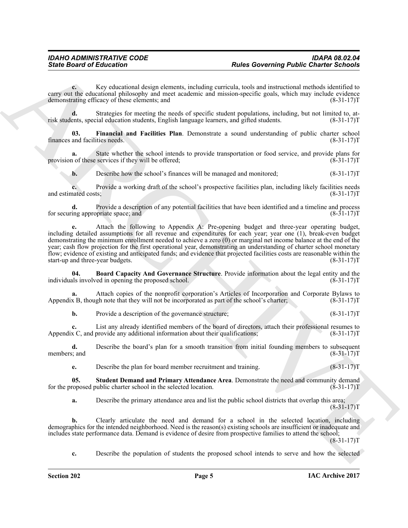**c.** Key educational design elements, including curricula, tools and instructional methods identified to carry out the educational philosophy and meet academic and mission-specific goals, which may include evidence demonstrating efficacy of these elements; and (8-31-17)T

**d.** Strategies for meeting the needs of specific student populations, including, but not limited to, atents, special education students, English language learners, and gifted students. (8-31-17) risk students, special education students, English language learners, and gifted students.

<span id="page-4-1"></span>**03. Financial and Facilities Plan**. Demonstrate a sound understanding of public charter school finances and facilities needs. (8-31-17)T

**a.** State whether the school intends to provide transportation or food service, and provide plans for n of these services if they will be offered; (8-31-17) provision of these services if they will be offered;

**b.** Describe how the school's finances will be managed and monitored; (8-31-17)

**c.** Provide a working draft of the school's prospective facilities plan, including likely facilities needs and estimated costs; (8-31-17)T

**d.** Provide a description of any potential facilities that have been identified and a timeline and process for securing appropriate space; and (8-31-17)T

Sinte Board of Ethication Comparison is using the solenoing Public Charter School<br>
Archives the control photography are not transition corresponds, both particular interesting<br>
and the control photography are not transiti **e.** Attach the following to Appendix A: Pre-opening budget and three-year operating budget, including detailed assumptions for all revenue and expenditures for each year; year one (1), break-even budget demonstrating the minimum enrollment needed to achieve a zero (0) or marginal net income balance at the end of the year; cash flow projection for the first operational year, demonstrating an understanding of charter school monetary flow; evidence of existing and anticipated funds; and evidence that projected facilities costs are reasonable within the start-up and three-year budgets.

<span id="page-4-0"></span>**04. Board Capacity And Governance Structure**. Provide information about the legal entity and the las involved in opening the proposed school. (8-31-17) individuals involved in opening the proposed school.

**a.** Attach copies of the nonprofit corporation's Articles of Incorporation and Corporate Bylaws to Appendix B, though note that they will not be incorporated as part of the school's charter; (8-31-17)T

**b.** Provide a description of the governance structure; (8-31-17)T

**c.** List any already identified members of the board of directors, attach their professional resumes to Appendix C, and provide any additional information about their qualifications; (8-31-17) (8-31-17)

**d.** Describe the board's plan for a smooth transition from initial founding members to subsequent members; and (8-31-17)T

<span id="page-4-2"></span>**e.** Describe the plan for board member recruitment and training. (8-31-17)

**05.** Student Demand and Primary Attendance Area. Demonstrate the need and community demand roposed public charter school in the selected location. (8-31-17) for the proposed public charter school in the selected location.

**a.** Describe the primary attendance area and list the public school districts that overlap this area;  $(8-31-17)T$ 

**b.** Clearly articulate the need and demand for a school in the selected location, including demographics for the intended neighborhood. Need is the reason(s) existing schools are insufficient or inadequate and includes state performance data. Demand is evidence of desire from prospective families to attend the school;  $(8-31-17)T$ 

**c.** Describe the population of students the proposed school intends to serve and how the selected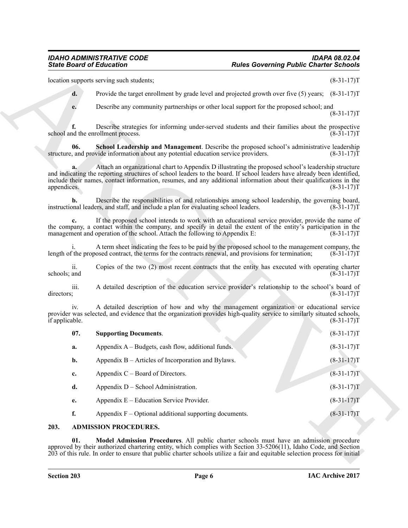<span id="page-5-3"></span>

| $(8-31-17)T$ |                                                                                                                                                                                                                                                                                                                                                        | location supports serving such students; |                       |  |  |
|--------------|--------------------------------------------------------------------------------------------------------------------------------------------------------------------------------------------------------------------------------------------------------------------------------------------------------------------------------------------------------|------------------------------------------|-----------------------|--|--|
|              | Provide the target enrollment by grade level and projected growth over five (5) years; (8-31-17)T                                                                                                                                                                                                                                                      |                                          | d.                    |  |  |
| $(8-31-17)T$ | Describe any community partnerships or other local support for the proposed school; and                                                                                                                                                                                                                                                                |                                          | e.                    |  |  |
| $(8-31-17)T$ | Describe strategies for informing under-served students and their families about the prospective                                                                                                                                                                                                                                                       | school and the enrollment process.       |                       |  |  |
| $(8-31-17)T$ | School Leadership and Management. Describe the proposed school's administrative leadership<br>structure, and provide information about any potential education service providers.                                                                                                                                                                      |                                          | 06.                   |  |  |
| $(8-31-17)T$ | Attach an organizational chart to Appendix D illustrating the proposed school's leadership structure<br>and indicating the reporting structures of school leaders to the board. If school leaders have already been identified,<br>include their names, contact information, resumes, and any additional information about their qualifications in the |                                          | a.<br>appendices.     |  |  |
| $(8-31-17)T$ | Describe the responsibilities of and relationships among school leadership, the governing board,<br>instructional leaders, and staff, and include a plan for evaluating school leaders.                                                                                                                                                                |                                          | b.                    |  |  |
| $(8-31-17)T$ | If the proposed school intends to work with an educational service provider, provide the name of<br>the company, a contact within the company, and specify in detail the extent of the entity's participation in the<br>management and operation of the school. Attach the following to Appendix E:                                                    |                                          | c.                    |  |  |
| $(8-31-17)T$ | A term sheet indicating the fees to be paid by the proposed school to the management company, the<br>length of the proposed contract, the terms for the contracts renewal, and provisions for termination;                                                                                                                                             |                                          |                       |  |  |
| $(8-31-17)T$ | Copies of the two (2) most recent contracts that the entity has executed with operating charter                                                                                                                                                                                                                                                        |                                          | ii.<br>schools; and   |  |  |
| $(8-31-17)T$ | A detailed description of the education service provider's relationship to the school's board of                                                                                                                                                                                                                                                       |                                          | iii.<br>directors;    |  |  |
| $(8-31-17)T$ | A detailed description of how and why the management organization or educational service<br>provider was selected, and evidence that the organization provides high-quality service to similarly situated schools,                                                                                                                                     |                                          | iv.<br>if applicable. |  |  |
| $(8-31-17)T$ |                                                                                                                                                                                                                                                                                                                                                        | <b>Supporting Documents.</b>             | 07.                   |  |  |
| $(8-31-17)T$ | Appendix A – Budgets, cash flow, additional funds.                                                                                                                                                                                                                                                                                                     |                                          | a.                    |  |  |
| $(8-31-17)T$ | Appendix B - Articles of Incorporation and Bylaws.                                                                                                                                                                                                                                                                                                     |                                          | b.                    |  |  |
| $(8-31-17)T$ |                                                                                                                                                                                                                                                                                                                                                        | Appendix $C -$ Board of Directors.       | c.                    |  |  |
| $(8-31-17)T$ |                                                                                                                                                                                                                                                                                                                                                        | Appendix D – School Administration.      | d.                    |  |  |
| $(8-31-17)T$ | Appendix E – Education Service Provider.                                                                                                                                                                                                                                                                                                               |                                          | е.                    |  |  |
| $(8-31-17)T$ | Appendix $F - Optional$ additional supporting documents.                                                                                                                                                                                                                                                                                               |                                          | f.                    |  |  |
|              |                                                                                                                                                                                                                                                                                                                                                        | 203.<br><b>ADMISSION PROCEDURES.</b>     |                       |  |  |

#### <span id="page-5-4"></span><span id="page-5-2"></span><span id="page-5-1"></span><span id="page-5-0"></span>**203. ADMISSION PROCEDURES.**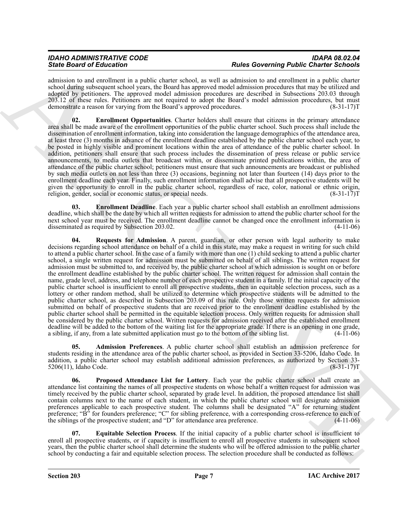| <b>IDAHO ADMINISTRATIVE CODE</b> | <b>IDAPA 08.02.04</b>                         |
|----------------------------------|-----------------------------------------------|
|                                  |                                               |
| <b>State Board of Education</b>  | <b>Rules Governing Public Charter Schools</b> |
|                                  |                                               |
|                                  |                                               |

admission to and enrollment in a public charter school, as well as admission to and enrollment in a public charter school during subsequent school years, the Board has approved model admission procedures that may be utilized and adopted by petitioners. The approved model admission procedures are described in Subsections 203.03 through 203.12 of these rules. Petitioners are not required to adopt the Board's model admission procedures, but must demonstrate a reason for varying from the Board's approved procedures. (8-31-17)T

<span id="page-6-2"></span>**02. Enrollment Opportunities**. Charter holders shall ensure that citizens in the primary attendance area shall be made aware of the enrollment opportunities of the public charter school. Such process shall include the dissemination of enrollment information, taking into consideration the language demographics of the attendance area, at least three (3) months in advance of the enrollment deadline established by the public charter school each year, to be posted in highly visible and prominent locations within the area of attendance of the public charter school. In addition, petitioners shall ensure that such process includes the dissemination of press release or public service announcements, to media outlets that broadcast within, or disseminate printed publications within, the area of attendance of the public charter school; petitioners must ensure that such announcements are broadcast or published by such media outlets on not less than three (3) occasions, beginning not later than fourteen (14) days prior to the enrollment deadline each year. Finally, such enrollment information shall advise that all prospective students will be given the opportunity to enroll in the public charter school, regardless of race, color, national or ethnic origin, religion, gender, social or economic status, or special needs. (8-31-17) T

<span id="page-6-5"></span><span id="page-6-1"></span>**03. Enrollment Deadline**. Each year a public charter school shall establish an enrollment admissions deadline, which shall be the date by which all written requests for admission to attend the public charter school for the next school year must be received. The enrollment deadline cannot be changed once the enrollment information is disseminated as required by Subsection 203.02. disseminated as required by Subsection 203.02.

Since Borizonta it follows in the polar control and the specific polar control polar Control and the specific state is a specific to the specific state is a specific state is a specific state is a specific state is a spec **04. Requests for Admission**. A parent, guardian, or other person with legal authority to make decisions regarding school attendance on behalf of a child in this state, may make a request in writing for such child to attend a public charter school. In the case of a family with more than one (1) child seeking to attend a public charter school, a single written request for admission must be submitted on behalf of all siblings. The written request for admission must be submitted to, and received by, the public charter school at which admission is sought on or before the enrollment deadline established by the public charter school. The written request for admission shall contain the name, grade level, address, and telephone number of each prospective student in a family. If the initial capacity of the public charter school is insufficient to enroll all prospective students, then an equitable selection process, such as a lottery or other random method, shall be utilized to determine which prospective students will be admitted to the public charter school, as described in Subsection 203.09 of this rule. Only those written requests for admission submitted on behalf of prospective students that are received prior to the enrollment deadline established by the public charter school shall be permitted in the equitable selection process. Only written requests for admission shall be considered by the public charter school. Written requests for admission received after the established enrollment deadline will be added to the bottom of the waiting list for the appropriate grade. If there is an opening in one grade, a sibling, if any, from a late submitted application must go to the bottom of the sibling list. (4-11-06)

<span id="page-6-0"></span>**05. Admission Preferences**. A public charter school shall establish an admission preference for students residing in the attendance area of the public charter school, as provided in Section 33-5206, Idaho Code. In addition, a public charter school may establish additional admission preferences, as authorized by Section 33-<br>5206(11), Idaho Code. (8-31-17) 5206(11), Idaho Code.

<span id="page-6-4"></span>**06. Proposed Attendance List for Lottery**. Each year the public charter school shall create an attendance list containing the names of all prospective students on whose behalf a written request for admission was timely received by the public charter school, separated by grade level. In addition, the proposed attendance list shall contain columns next to the name of each student, in which the public charter school will designate admission preferences applicable to each prospective student. The columns shall be designated "A" for returning student preference; "B" for founders preference; "C" for sibling preference, with a corresponding cross-reference to each of the siblings of the prospective student; and "D" for attendance area preference. (4-11-06)

<span id="page-6-3"></span>**07. Equitable Selection Process**. If the initial capacity of a public charter school is insufficient to enroll all prospective students, or if capacity is insufficient to enroll all prospective students in subsequent school years, then the public charter school shall determine the students who will be offered admission to the public charter school by conducting a fair and equitable selection process. The selection procedure shall be conducted as follows: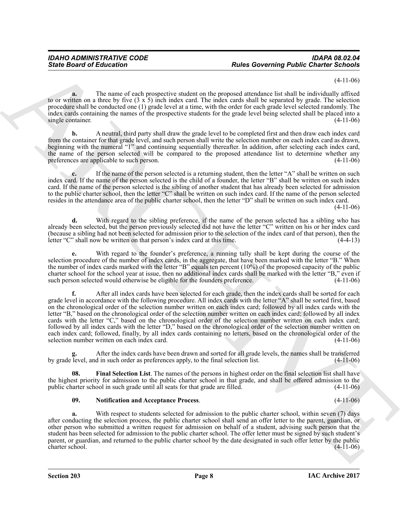#### (4-11-06)

**a.** The name of each prospective student on the proposed attendance list shall be individually affixed to or written on a three by five (3 x 5) inch index card. The index cards shall be separated by grade. The selection procedure shall be conducted one (1) grade level at a time, with the order for each grade level selected randomly. The index cards containing the names of the prospective students for the grade level being selected shall be placed into a single container. (4-11-06)

**b.** A neutral, third party shall draw the grade level to be completed first and then draw each index card from the container for that grade level, and such person shall write the selection number on each index card as drawn, beginning with the numeral "1" and continuing sequentially thereafter. In addition, after selecting each index card, the name of the person selected will be compared to the proposed attendance list to determine whether any preferences are applicable to such person. (4-11-06) preferences are applicable to such person.

**c.** If the name of the person selected is a returning student, then the letter "A" shall be written on such index card. If the name of the person selected is the child of a founder, the letter "B" shall be written on such index card. If the name of the person selected is the sibling of another student that has already been selected for admission to the public charter school, then the letter "C" shall be written on such index card. If the name of the person selected resides in the attendance area of the public charter school, then the letter "D" shall be written on such index card. (4-11-06)

**d.** With regard to the sibling preference, if the name of the person selected has a sibling who has already been selected, but the person previously selected did not have the letter "C" written on his or her index card (because a sibling had not been selected for admission prior to the selection of the index card of that person), then the letter "C" shall now be written on that person's index card at this time. (4-4-13)

**e.** With regard to the founder's preference, a running tally shall be kept during the course of the selection procedure of the number of index cards, in the aggregate, that have been marked with the letter "B." When the number of index cards marked with the letter "B" equals ten percent (10%) of the proposed capacity of the public charter school for the school year at issue, then no additional index cards shall be marked with the letter "B," even if such person selected would otherwise be eligible for the founders preference.

Sinte Board of Entrempts Comparison that the proposition of the proposition of the subset of the subset of the subset of the subset of the subset of the subset of the subset of the subset of the subset of the subset of th **f.** After all index cards have been selected for each grade, then the index cards shall be sorted for each grade level in accordance with the following procedure. All index cards with the letter "A" shall be sorted first, based on the chronological order of the selection number written on each index card; followed by all index cards with the letter "B," based on the chronological order of the selection number written on each index card; followed by all index cards with the letter "C," based on the chronological order of the selection number written on each index card; followed by all index cards with the letter "D," based on the chronological order of the selection number written on each index card; followed, finally, by all index cards containing no letters, based on the chronological order of the selection number written on each index card. (4-11-06) selection number written on each index card.

**g.** After the index cards have been drawn and sorted for all grade levels, the names shall be transferred by grade level, and in such order as preferences apply, to the final selection list. (4-11-06)

**08. Final Selection List**. The names of the persons in highest order on the final selection list shall have the highest priority for admission to the public charter school in that grade, and shall be offered admission to the public charter school in such grade until all seats for that grade are filled. (4-11-06)

#### <span id="page-7-1"></span><span id="page-7-0"></span>**09. Notification and Acceptance Process**. (4-11-06)

**a.** With respect to students selected for admission to the public charter school, within seven (7) days after conducting the selection process, the public charter school shall send an offer letter to the parent, guardian, or other person who submitted a written request for admission on behalf of a student, advising such person that the student has been selected for admission to the public charter school. The offer letter must be signed by such student's parent, or guardian, and returned to the public charter school by the date designated in such offer letter by the public charter school. (4-11-06) charter school.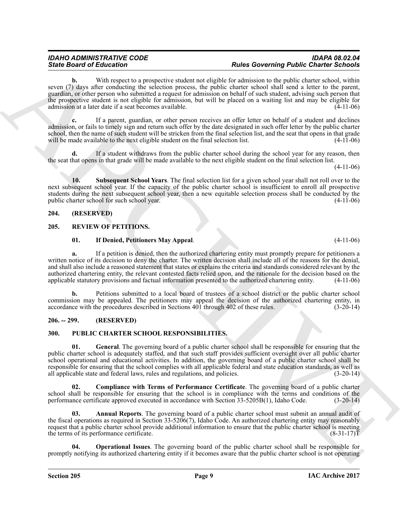#### *IDAHO ADMINISTRATIVE CODE IDAPA 08.02.04 State Board of Education Rules Governing Public Charter Schools*

With respect to a prospective student not eligible for admission to the public charter school, within seven (7) days after conducting the selection process, the public charter school shall send a letter to the parent, guardian, or other person who submitted a request for admission on behalf of such student, advising such person that the prospective student is not eligible for admission, but will be placed on a waiting list and may be eligible for admission at a later date if a seat becomes available. (4-11-06)

**c.** If a parent, guardian, or other person receives an offer letter on behalf of a student and declines admission, or fails to timely sign and return such offer by the date designated in such offer letter by the public charter school, then the name of such student will be stricken from the final selection list, and the seat that opens in that grade will be made available to the next eligible student on the final selection list. (4-11-06)

**d.** If a student withdraws from the public charter school during the school year for any reason, then the seat that opens in that grade will be made available to the next eligible student on the final selection list.

(4-11-06)

<span id="page-8-4"></span>**10. Subsequent School Years**. The final selection list for a given school year shall not roll over to the next subsequent school year. If the capacity of the public charter school is insufficient to enroll all prospective students during the next subsequent school year, then a new equitable selection process shall be conducted by the public charter school for such school year. (4-11-06)

#### <span id="page-8-0"></span>**204. (RESERVED)**

#### <span id="page-8-1"></span>**205. REVIEW OF PETITIONS.**

#### <span id="page-8-11"></span><span id="page-8-10"></span>**01. If Denied, Petitioners May Appeal**. (4-11-06)

**a.** If a petition is denied, then the authorized chartering entity must promptly prepare for petitioners a written notice of its decision to deny the charter. The written decision shall include all of the reasons for the denial, and shall also include a reasoned statement that states or explains the criteria and standards considered relevant by the authorized chartering entity, the relevant contested facts relied upon, and the rationale for the decision based on the applicable statutory provisions and factual information presented to the authorized chartering entity. applicable statutory provisions and factual information presented to the authorized chartering entity.

**b.** Petitions submitted to a local board of trustees of a school district or the public charter school commission may be appealed. The petitioners may appeal the decision of the authorized chartering entity, in accordance with the procedures described in Sections 401 through 402 of these rules. (3-20-14) accordance with the procedures described in Sections 401 through 402 of these rules.

#### <span id="page-8-2"></span>**206. -- 299. (RESERVED)**

#### <span id="page-8-8"></span><span id="page-8-5"></span><span id="page-8-3"></span>**300. PUBLIC CHARTER SCHOOL RESPONSIBILITIES.**

Sinte Brazil of Education Control is unproported substitute the determining Photo Control is a proported substitute of the state of the state of the state of the state of the state of the state of the state of the state o **01. General**. The governing board of a public charter school shall be responsible for ensuring that the public charter school is adequately staffed, and that such staff provides sufficient oversight over all public charter school operational and educational activities. In addition, the governing board of a public charter school shall be responsible for ensuring that the school complies with all applicable federal and state education standards, as well as all applicable state and federal laws, rules and regulations, and policies. (3-20-14)

<span id="page-8-7"></span>**02. Compliance with Terms of Performance Certificate**. The governing board of a public charter school shall be responsible for ensuring that the school is in compliance with the terms and conditions of the performance certificate approved executed in accordance with Section 33-5205B(1), Idaho Code. (3-20-14) performance certificate approved executed in accordance with Section 33-5205B(1), Idaho Code.

<span id="page-8-6"></span>**03. Annual Reports**. The governing board of a public charter school must submit an annual audit of the fiscal operations as required in Section 33-5206(7), Idaho Code. An authorized chartering entity may reasonably request that a public charter school provide additional information to ensure that the public charter school is meeting the terms of its performance certificate. (8-31-17)T

<span id="page-8-9"></span>**Operational Issues**. The governing board of the public charter school shall be responsible for promptly notifying its authorized chartering entity if it becomes aware that the public charter school is not operating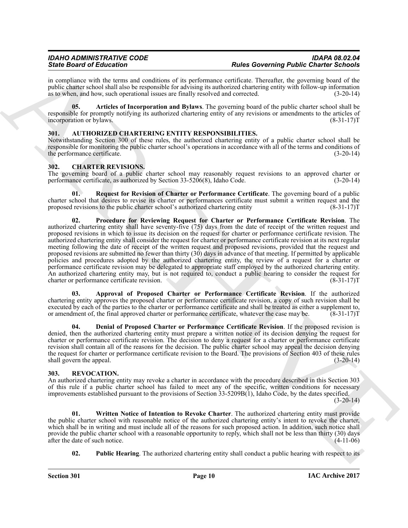in compliance with the terms and conditions of its performance certificate. Thereafter, the governing board of the public charter school shall also be responsible for advising its authorized chartering entity with follow-up information as to when, and how, such operational issues are finally resolved and corrected. (3-20-14) as to when, and how, such operational issues are finally resolved and corrected.

<span id="page-9-9"></span>**05. Articles of Incorporation and Bylaws**. The governing board of the public charter school shall be responsible for promptly notifying its authorized chartering entity of any revisions or amendments to the articles of incorporation or bylaws. incorporation or bylaws.

#### <span id="page-9-3"></span><span id="page-9-0"></span>**301. AUTHORIZED CHARTERING ENTITY RESPONSIBILITIES.**

Notwithstanding Section 300 of these rules, the authorized chartering entity of a public charter school shall be responsible for monitoring the public charter school's operations in accordance with all of the terms and conditions of the performance certificate. (3-20-14)

#### <span id="page-9-4"></span><span id="page-9-1"></span>**302. CHARTER REVISIONS.**

The governing board of a public charter school may reasonably request revisions to an approved charter or performance certificate, as authorized by Section 33-5206(8), Idaho Code. (3-20-14) performance certificate, as authorized by Section  $33-5206(8)$ , Idaho Code.

<span id="page-9-8"></span><span id="page-9-7"></span>**01. Request for Revision of Charter or Performance Certificate**. The governing board of a public charter school that desires to revise its charter or performances certificate must submit a written request and the proposed revisions to the public charter school's authorized chartering entity (8-31-17)T

Since Brazil and European Company and the particular methods of the methods Company and the Company and the Company and the Company and the Company and the Company and the Company and the Company and the Company and the C **02. Procedure for Reviewing Request for Charter or Performance Certificate Revision**. The authorized chartering entity shall have seventy-five (75) days from the date of receipt of the written request and proposed revisions in which to issue its decision on the request for charter or performance certificate revision. The authorized chartering entity shall consider the request for charter or performance certificate revision at its next regular meeting following the date of receipt of the written request and proposed revisions, provided that the request and proposed revisions are submitted no fewer than thirty (30) days in advance of that meeting. If permitted by applicable policies and procedures adopted by the authorized chartering entity, the review of a request for a charter or performance certificate revision may be delegated to appropriate staff employed by the authorized chartering entity. An authorized chartering entity may, but is not required to, conduct a public hearing to consider the request for charter or performance certificate revision. (8-31-17) charter or performance certificate revision.

<span id="page-9-5"></span>**03. Approval of Proposed Charter or Performance Certificate Revision**. If the authorized chartering entity approves the proposed charter or performance certificate revision, a copy of such revision shall be executed by each of the parties to the charter or performance certificate and shall be treated as either a supplement to, or amendment of, the final approved charter or performance certificate, whatever the case may be. (8-31-17)T

<span id="page-9-6"></span>**04. Denial of Proposed Charter or Performance Certificate Revision**. If the proposed revision is denied, then the authorized chartering entity must prepare a written notice of its decision denying the request for charter or performance certificate revision. The decision to deny a request for a charter or performance certificate revision shall contain all of the reasons for the decision. The public charter school may appeal the decision denying the request for charter or performance certificate revision to the Board. The provisions of Section 403 of these rules shall govern the appeal. (3-20-14) (3-20-14)

#### <span id="page-9-10"></span><span id="page-9-2"></span>**303. REVOCATION.**

An authorized chartering entity may revoke a charter in accordance with the procedure described in this Section 303 of this rule if a public charter school has failed to meet any of the specific, written conditions for necessary improvements established pursuant to the provisions of Section 33-5209B(1), Idaho Code, by the dates specified.  $(3-20-14)$ 

<span id="page-9-12"></span>**01. Written Notice of Intention to Revoke Charter**. The authorized chartering entity must provide the public charter school with reasonable notice of the authorized chartering entity's intent to revoke the charter, which shall be in writing and must include all of the reasons for such proposed action. In addition, such notice shall provide the public charter school with a reasonable opportunity to reply, which shall not be less than thirty (30) days after the date of such notice. (4-11-06) after the date of such notice.

<span id="page-9-11"></span>**02.** Public Hearing. The authorized chartering entity shall conduct a public hearing with respect to its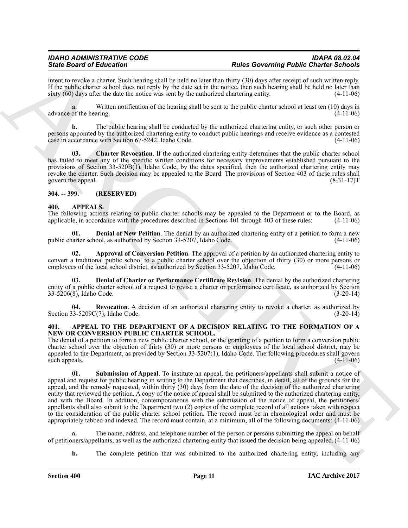intent to revoke a charter. Such hearing shall be held no later than thirty (30) days after receipt of such written reply. If the public charter school does not reply by the date set in the notice, then such hearing shall be held no later than sixty (60) days after the date the notice was sent by the authorized chartering entity. (4-11-06)

**a.** Written notification of the hearing shall be sent to the public charter school at least ten (10) days in advance of the hearing. (4-11-06)

**b.** The public hearing shall be conducted by the authorized chartering entity, or such other person or persons appointed by the authorized chartering entity to conduct public hearings and receive evidence as a contested case in accordance with Section 67-5242, Idaho Code. (4-11-06)

<span id="page-10-9"></span>**03. Charter Revocation**. If the authorized chartering entity determines that the public charter school has failed to meet any of the specific written conditions for necessary improvements established pursuant to the provisions of Section 33-520B(1), Idaho Code, by the dates specified, then the authorized chartering entity may revoke the charter. Such decision may be appealed to the Board. The provisions of Section 403 of these rules shall govern the appeal. (8-31-17)T

#### <span id="page-10-0"></span>**304. -- 399. (RESERVED)**

#### <span id="page-10-4"></span><span id="page-10-1"></span>**400. APPEALS.**

The following actions relating to public charter schools may be appealed to the Department or to the Board, as applicable, in accordance with the procedures described in Sections 401 through 403 of these rules: (4-11-06) applicable, in accordance with the procedures described in Sections  $\hat{40}1$  through 403 of these rules:

<span id="page-10-7"></span>**Denial of New Petition**. The denial by an authorized chartering entity of a petition to form a new public charter school, as authorized by Section 33-5207, Idaho Code. (4-11-06)

<span id="page-10-5"></span>**02. Approval of Conversion Petition**. The approval of a petition by an authorized chartering entity to convert a traditional public school to a public charter school over the objection of thirty (30) or more persons or employees of the local school district, as authorized by Section 33-5207, Idaho Code. (4-11-06)

<span id="page-10-6"></span>**03. Denial of Charter or Performance Certificate Revision**. The denial by the authorized chartering entity of a public charter school of a request to revise a charter or performance certificate, as authorized by Section 33-5206(8), Idaho Code. (3-20-14)

<span id="page-10-8"></span>**04. Revocation**. A decision of an authorized chartering entity to revoke a charter, as authorized by Section 33-5209C(7), Idaho Code. (3-20-14)

#### <span id="page-10-2"></span>**401. APPEAL TO THE DEPARTMENT OF A DECISION RELATING TO THE FORMATION OF A NEW OR CONVERSION PUBLIC CHARTER SCHOOL.**

<span id="page-10-3"></span>The denial of a petition to form a new public charter school, or the granting of a petition to form a conversion public charter school over the objection of thirty (30) or more persons or employees of the local school district, may be appealed to the Department, as provided by Section 33-5207(1), Idaho Code. The following procedures shall govern such appeals.  $(4-11-06)$ 

Since Brainward Education Control of the later state of the property Photo Control of the Control of the later state of the state of the state of the state of the state of the state of the state of the state of the state **01. Submission of Appeal**. To institute an appeal, the petitioners/appellants shall submit a notice of appeal and request for public hearing in writing to the Department that describes, in detail, all of the grounds for the appeal, and the remedy requested, within thirty (30) days from the date of the decision of the authorized chartering entity that reviewed the petition. A copy of the notice of appeal shall be submitted to the authorized chartering entity, and with the Board. In addition, contemporaneous with the submission of the notice of appeal, the petitioners/ appellants shall also submit to the Department two (2) copies of the complete record of all actions taken with respect to the consideration of the public charter school petition. The record must be in chronological order and must be appropriately tabbed and indexed. The record must contain, at a minimum, all of the following documents: (4-11-06)

**a.** The name, address, and telephone number of the person or persons submitting the appeal on behalf of petitioners/appellants, as well as the authorized chartering entity that issued the decision being appealed. (4-11-06)

**b.** The complete petition that was submitted to the authorized chartering entity, including any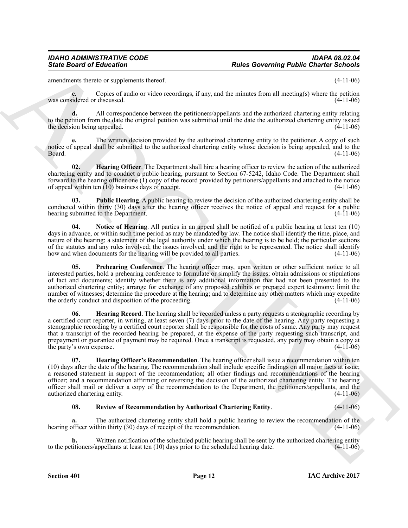amendments thereto or supplements thereof. (4-11-06)

**c.** Copies of audio or video recordings, if any, and the minutes from all meeting(s) where the petition was considered or discussed. (4-11-06)

**d.** All correspondence between the petitioners/appellants and the authorized chartering entity relating to the petition from the date the original petition was submitted until the date the authorized chartering entity issued the decision being appealed. (4-11-06)

The written decision provided by the authorized chartering entity to the petitioner. A copy of such notice of appeal shall be submitted to the authorized chartering entity whose decision is being appealed, and to the  $\beta$ Board.  $(4-11-06)$ 

<span id="page-11-0"></span>**02. Hearing Officer**. The Department shall hire a hearing officer to review the action of the authorized chartering entity and to conduct a public hearing, pursuant to Section 67-5242, Idaho Code. The Department shall forward to the hearing officer one (1) copy of the record provided by petitioners/appellants and attached to the notice of appeal within ten  $(10)$  business days of receipt.

<span id="page-11-5"></span>**03. Public Hearing**. A public hearing to review the decision of the authorized chartering entity shall be conducted within thirty (30) days after the hearing officer receives the notice of appeal and request for a public hearing submitted to the Department. (4-11-06)

<span id="page-11-3"></span>**04. Notice of Hearing**. All parties in an appeal shall be notified of a public hearing at least ten (10) days in advance, or within such time period as may be mandated by law. The notice shall identify the time, place, and nature of the hearing; a statement of the legal authority under which the hearing is to be held; the particular sections of the statutes and any rules involved; the issues involved; and the right to be represented. The notice shall identify how and when documents for the hearing will be provided to all parties. (4-11-06)

<span id="page-11-4"></span>Prehearing Conference. The hearing officer may, upon written or other sufficient notice to all interested parties, hold a prehearing conference to formulate or simplify the issues; obtain admissions or stipulations of fact and documents; identify whether there is any additional information that had not been presented to the authorized chartering entity; arrange for exchange of any proposed exhibits or prepared expert testimony; limit the number of witnesses; determine the procedure at the hearing; and to determine any other matters which may expedite the orderly conduct and disposition of the proceeding. (4-11-06)

<span id="page-11-2"></span>**06. Hearing Record**. The hearing shall be recorded unless a party requests a stenographic recording by a certified court reporter, in writing, at least seven (7) days prior to the date of the hearing. Any party requesting a stenographic recording by a certified court reporter shall be responsible for the costs of same. Any party may request that a transcript of the recorded hearing be prepared, at the expense of the party requesting such transcript, and prepayment or guarantee of payment may be required. Once a transcript is requested, any party may obtain a copy at the party's own expense.  $(4-11-06)$ 

Since Board of Ecliptoines Control is the solution of the solution of the state of the state of the state of the state of the state of the state of the state of the state of the state of the state of the state of the stat **07. Hearing Officer's Recommendation**. The hearing officer shall issue a recommendation within ten (10) days after the date of the hearing. The recommendation shall include specific findings on all major facts at issue; a reasoned statement in support of the recommendation; all other findings and recommendations of the hearing officer; and a recommendation affirming or reversing the decision of the authorized chartering entity. The hearing officer shall mail or deliver a copy of the recommendation to the Department, the petitioners/appellants, and the authorized chartering entity. (4-11-06)

### <span id="page-11-6"></span><span id="page-11-1"></span>**08. Review of Recommendation by Authorized Chartering Entity**. (4-11-06)

**a.** The authorized chartering entity shall hold a public hearing to review the recommendation of the hearing officer within thirty (30) days of receipt of the recommendation. (4-11-06)

**b.** Written notification of the scheduled public hearing shall be sent by the authorized chartering entity itioners/appellants at least ten (10) days prior to the scheduled hearing date. (4-11-06) to the petitioners/appellants at least ten  $(10)$  days prior to the scheduled hearing date.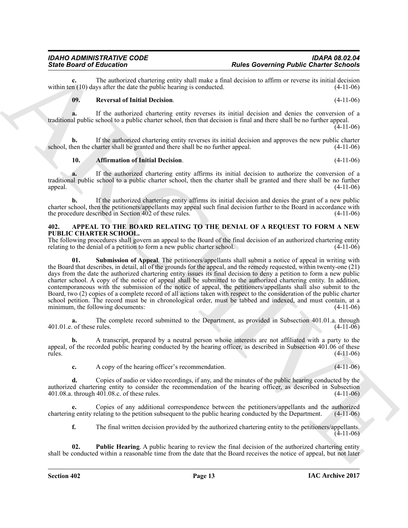## the procedure described in Section 402 of these rules. (4-11-06)

**IAC Archive 2017**

### <span id="page-12-0"></span>**402. APPEAL TO THE BOARD RELATING TO THE DENIAL OF A REQUEST TO FORM A NEW PUBLIC CHARTER SCHOOL.**

traditional public school to a public charter school, then the charter shall be granted and there shall be no further appeal. (4-11-06) appeal.  $(4-11-06)$ 

charter school, then the petitioners/appellants may appeal such final decision further to the Board in accordance with

**c.** The authorized chartering entity shall make a final decision to affirm or reverse its initial decision in (10) days after the date the public hearing is conducted. (4-11-06)

**b.** If the authorized chartering entity reverses its initial decision and approves the new public charter hen the charter shall be granted and there shall be no further appeal. (4-11-06)

**10. Affirmation of Initial Decision**. (4-11-06)

<span id="page-12-1"></span>**b.** If the authorized chartering entity affirms its initial decision and denies the grant of a new public

<span id="page-12-4"></span>**a.** If the authorized chartering entity affirms its initial decision to authorize the conversion of a

<span id="page-12-3"></span>The following procedures shall govern an appeal to the Board of the final decision of an authorized chartering entity relating to the denial of a petition to form a new public charter school. (4-11-06) relating to the denial of a petition to form a new public charter school.

Sinte Board of Holestonian comparison in the Society of the Society of the Society of Holestonian control is a material of the society of the Society of the Society of the Society of the Society of the Society of the Soci **Submission of Appeal**. The petitioners/appellants shall submit a notice of appeal in writing with the Board that describes, in detail, all of the grounds for the appeal, and the remedy requested, within twenty-one (21) days from the date the authorized chartering entity issues its final decision to deny a petition to form a new public charter school. A copy of the notice of appeal shall be submitted to the authorized chartering entity. In addition, contemporaneous with the submission of the notice of appeal, the petitioners/appellants shall also submit to the Board, two (2) copies of a complete record of all actions taken with respect to the consideration of the public charter school petition. The record must be in chronological order, must be tabbed and indexed, and must contain, at a minimum, the following documents: (4-11-06) minimum, the following documents:

**a.** The complete record submitted to the Department, as provided in Subsection 401.01.a. through 401.01.e. of these rules. (4-11-06)

**b.** A transcript, prepared by a neutral person whose interests are not affiliated with a party to the appeal, of the recorded public hearing conducted by the hearing officer, as described in Subsection 401.06 of these rules. (4-11-06)

**c.** A copy of the hearing officer's recommendation. (4-11-06)

**d.** Copies of audio or video recordings, if any, and the minutes of the public hearing conducted by the authorized chartering entity to consider the recommendation of the hearing officer, as described in Subsection 401.08.a. through 401.08.c. of these rules. (4-11-06)

**e.** Copies of any additional correspondence between the petitioners/appellants and the authorized chartering entity relating to the petition subsequent to the public hearing conducted by the Department. (4-11-06)

<span id="page-12-2"></span>**f.** The final written decision provided by the authorized chartering entity to the petitioners/appellants. (4-11-06)

**02. Public Hearing**. A public hearing to review the final decision of the authorized chartering entity shall be conducted within a reasonable time from the date that the Board receives the notice of appeal, but not later

within ten  $(10)$  days after the date the public hearing is conducted.

school, then the charter shall be granted and there shall be no further appeal.

<span id="page-12-5"></span>**09. Reversal of Initial Decision**. (4-11-06)

**a.** If the authorized chartering entity reverses its initial decision and denies the conversion of a traditional public school to a public charter school, then that decision is final and there shall be no further appeal.

(4-11-06)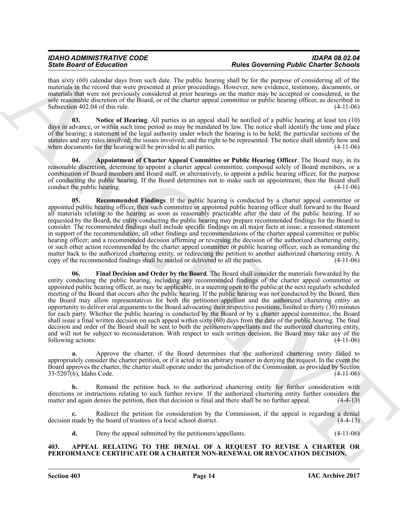#### *IDAHO ADMINISTRATIVE CODE IDAPA 08.02.04 State Board of Education Rules Governing Public Charter Schools*

than sixty (60) calendar days from such date. The public hearing shall be for the purpose of considering all of the materials in the record that were presented at prior proceedings. However, new evidence, testimony, documents, or materials that were not previously considered at prior hearings on the matter may be accepted or considered, in the sole reasonable discretion of the Board, or of the charter appeal committee or public hearing officer, as described in Subsection 402.04 of this rule.  $(4-11-06)$ 

<span id="page-13-4"></span>**03. Notice of Hearing**. All parties in an appeal shall be notified of a public hearing at least ten (10) days in advance, or within such time period as may be mandated by law. The notice shall identify the time and place of the hearing; a statement of the legal authority under which the hearing is to be held; the particular sections of the statutes and any rules involved; the issues involved; and the right to be represented. The notice shall identify how and when documents for the hearing will be provided to all parties. (4-11-06) when documents for the hearing will be provided to all parties.

<span id="page-13-2"></span>**04. Appointment of Charter Appeal Committee or Public Hearing Officer**. The Board may, in its reasonable discretion, determine to appoint a charter appeal committee, composed solely of Board members, or a combination of Board members and Board staff, or alternatively, to appoint a public hearing officer, for the purpose of conducting the public hearing. If the Board determines not to make such an appointment, then the Board shall conduct the public hearing. (4-11-06) conduct the public hearing.

<span id="page-13-5"></span><span id="page-13-3"></span>**Recommended Findings**. If the public hearing is conducted by a charter appeal committee or appointed public hearing officer, then such committee or appointed public hearing officer shall forward to the Board all materials relating to the hearing as soon as reasonably practicable after the date of the public hearing. If so requested by the Board, the entity conducting the public hearing may prepare recommended findings for the Board to consider. The recommended findings shall include specific findings on all major facts at issue; a reasoned statement in support of the recommendation; all other findings and recommendations of the charter appeal committee or public hearing officer; and a recommended decision affirming or reversing the decision of the authorized chartering entity, or such other action recommended by the charter appeal committee or public hearing officer, such as remanding the matter back to the authorized chartering entity, or redirecting the petition to another authorized chartering entity. A copy of the recommended findings shall be mailed or delivered to all the parties. (4-11-06) copy of the recommended findings shall be mailed or delivered to all the parties.

Since Board of Education Control in the Real of the Board of the Real of Control Photo Control Photo Control Photo Control Photo Control Photo Control Photo Control Photo Control Photo Control Photo Control in the Real of **06. Final Decision and Order by the Board**. The Board shall consider the materials forwarded by the entity conducting the public hearing, including any recommended findings of the charter appeal committee or appointed public hearing officer, as may be applicable, in a meeting open to the public at the next regularly scheduled meeting of the Board that occurs after the public hearing. If the public hearing was not conducted by the Board, then the Board may allow representatives for both the petitioner/appellant and the authorized chartering entity an opportunity to deliver oral arguments to the Board advocating their respective positions, limited to thirty (30) minutes for each party. Whether the public hearing is conducted by the Board or by a charter appeal committee, the Board shall issue a final written decision on such appeal within sixty (60) days from the date of the public hearing. The final decision and order of the Board shall be sent to both the petitioners/appellants and the authorized chartering entity, and will not be subject to reconsideration. With respect to such written decision, the Board may take any of the following actions: (4-11-06) following actions:

**a.** Approve the charter, if the Board determines that the authorized chartering entity failed to appropriately consider the charter petition, or if it acted in an arbitrary manner in denying the request. In the event the Board approves the charter, the charter shall operate under the jurisdiction of the Commission, as provided by Section 33-5207(6), Idaho Code. (4-11-06)

**b.** Remand the petition back to the authorized chartering entity for further consideration with directions or instructions relating to such further review. If the authorized chartering entity further considers the matter and again denies the petition, then that decision is final and there shall be no further appeal. matter and again denies the petition, then that decision is final and there shall be no further appeal.

**c.** Redirect the petition for consideration by the Commission, if the appeal is regarding a denial decision made by the board of trustees of a local school district. (4-4-13)

<span id="page-13-1"></span>**d.** Deny the appeal submitted by the petitioners/appellants. (4-11-06)

### <span id="page-13-0"></span>**403. APPEAL RELATING TO THE DENIAL OF A REQUEST TO REVISE A CHARTER OR PERFORMANCE CERTIFICATE OR A CHARTER NON-RENEWAL OR REVOCATION DECISION.**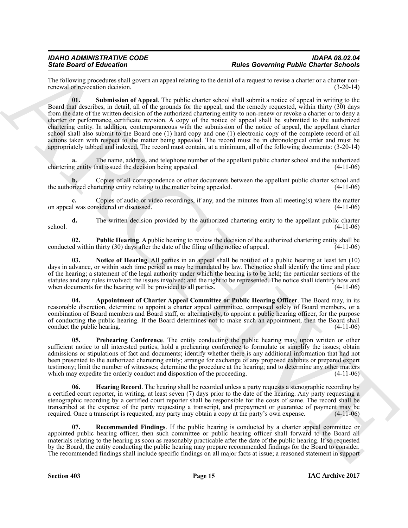<span id="page-14-6"></span>The following procedures shall govern an appeal relating to the denial of a request to revise a charter or a charter non-<br>(3-20-14) renewal or revocation decision.

Since Board of Education and Lawaria methods are not expected by the subsect of the subsect of the subsect of the subsect of the subsect of the subsect of the subsect of the subsect of the subsect of the subsect of the su **01. Submission of Appeal**. The public charter school shall submit a notice of appeal in writing to the Board that describes, in detail, all of the grounds for the appeal, and the remedy requested, within thirty (30) days from the date of the written decision of the authorized chartering entity to non-renew or revoke a charter or to deny a charter or performance certificate revision. A copy of the notice of appeal shall be submitted to the authorized chartering entity. In addition, contemporaneous with the submission of the notice of appeal, the appellant charter school shall also submit to the Board one (1) hard copy and one (1) electronic copy of the complete record of all actions taken with respect to the matter being appealed. The record must be in chronological order and must be appropriately tabbed and indexed. The record must contain, at a minimum, all of the following documents: (3-20-14)

**a.** The name, address, and telephone number of the appellant public charter school and the authorized chartering entity that issued the decision being appealed. (4-11-06)

**b.** Copies of all correspondence or other documents between the appellant public charter school and prized chartering entity relating to the matter being appealed. (4-11-06) the authorized chartering entity relating to the matter being appealed.

**c.** Copies of audio or video recordings, if any, and the minutes from all meeting(s) where the matter on appeal was considered or discussed. (4-11-06)

**d.** The written decision provided by the authorized chartering entity to the appellant public charter (4-11-06)  $\frac{(4-11-06)}{2}$ 

<span id="page-14-4"></span>**02. Public Hearing**. A public hearing to review the decision of the authorized chartering entity shall be determined within thirty (30) days after the date of the filing of the notice of appeal. (4-11-06) conducted within thirty  $(30)$  days after the date of the filing of the notice of appeal.

<span id="page-14-2"></span>**03. Notice of Hearing**. All parties in an appeal shall be notified of a public hearing at least ten (10) days in advance, or within such time period as may be mandated by law. The notice shall identify the time and place of the hearing; a statement of the legal authority under which the hearing is to be held; the particular sections of the statutes and any rules involved; the issues involved; and the right to be represented. The notice shall identify how and when documents for the hearing will be provided to all parties. (4-11-06)

<span id="page-14-0"></span>**04. Appointment of Charter Appeal Committee or Public Hearing Officer**. The Board may, in its reasonable discretion, determine to appoint a charter appeal committee, composed solely of Board members, or a combination of Board members and Board staff, or alternatively, to appoint a public hearing officer, for the purpose of conducting the public hearing. If the Board determines not to make such an appointment, then the Board shall conduct the public hearing. (4-11-06)

<span id="page-14-3"></span>**05. Prehearing Conference**. The entity conducting the public hearing may, upon written or other sufficient notice to all interested parties, hold a prehearing conference to formulate or simplify the issues; obtain admissions or stipulations of fact and documents; identify whether there is any additional information that had not been presented to the authorized chartering entity; arrange for exchange of any proposed exhibits or prepared expert testimony; limit the number of witnesses; determine the procedure at the hearing; and to determine any other matters which may expedite the orderly conduct and disposition of the proceeding. (4-11-06) which may expedite the orderly conduct and disposition of the proceeding.

<span id="page-14-1"></span>**Hearing Record**. The hearing shall be recorded unless a party requests a stenographic recording by a certified court reporter, in writing, at least seven (7) days prior to the date of the hearing. Any party requesting a stenographic recording by a certified court reporter shall be responsible for the costs of same. The record shall be transcribed at the expense of the party requesting a transcript, and prepayment or guarantee of payment may be required. Once a transcript is requested, any party may obtain a copy at the party's own expense. (4-11-06)

<span id="page-14-5"></span>**07. Recommended Findings**. If the public hearing is conducted by a charter appeal committee or appointed public hearing officer, then such committee or public hearing officer shall forward to the Board all materials relating to the hearing as soon as reasonably practicable after the date of the public hearing. If so requested by the Board, the entity conducting the public hearing may prepare recommended findings for the Board to consider. The recommended findings shall include specific findings on all major facts at issue; a reasoned statement in support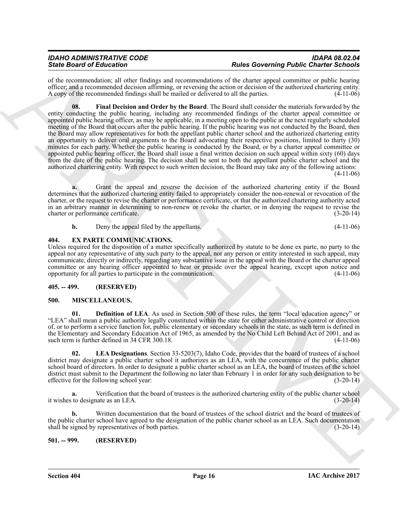<span id="page-15-4"></span>of the recommendation; all other findings and recommendations of the charter appeal committee or public hearing officer; and a recommended decision affirming, or reversing the action or decision of the authorized chartering entity. A copy of the recommended findings shall be mailed or delivered to all the parties. (4-11-06)

Since the other distinction of the state and systems of the convention of the convention of the state of the state of the state of the state of the state of the state of the state of the state of the state of the state of **08. Final Decision and Order by the Board**. The Board shall consider the materials forwarded by the entity conducting the public hearing, including any recommended findings of the charter appeal committee or appointed public hearing officer, as may be applicable, in a meeting open to the public at the next regularly scheduled meeting of the Board that occurs after the public hearing. If the public hearing was not conducted by the Board, then the Board may allow representatives for both the appellant public charter school and the authorized chartering entity an opportunity to deliver oral arguments to the Board advocating their respective positions, limited to thirty (30) minutes for each party. Whether the public hearing is conducted by the Board, or by a charter appeal committee or appointed public hearing officer, the Board shall issue a final written decision on such appeal within sixty (60) days from the date of the public hearing. The decision shall be sent to both the appellant public charter school and the authorized chartering entity. With respect to such written decision, the Board may take any of the following actions:  $(4-11-06)$ 

**a.** Grant the appeal and reverse the decision of the authorized chartering entity if the Board determines that the authorized chartering entity failed to appropriately consider the non-renewal or revocation of the charter, or the request to revise the charter or performance certificate, or that the authorized chartering authority acted in an arbitrary manner in determining to non-renew or revoke the charter, or in denying the request to revise the charter or performance certificate. (3-20-14)

<span id="page-15-5"></span>

| Deny the appeal filed by the appellants. | $(4-11-06)$ |
|------------------------------------------|-------------|

#### <span id="page-15-0"></span>**404. EX PARTE COMMUNICATIONS.**

Unless required for the disposition of a matter specifically authorized by statute to be done ex parte, no party to the appeal nor any representative of any such party to the appeal, nor any person or entity interested in such appeal, may communicate, directly or indirectly, regarding any substantive issue in the appeal with the Board or the charter appeal committee or any hearing officer appointed to hear or preside over the appeal hearing, except upon notice and opportunity for all parties to participate in the communication. (4-11-06)

#### <span id="page-15-1"></span>**405. -- 499. (RESERVED)**

#### <span id="page-15-6"></span><span id="page-15-2"></span>**500. MISCELLANEOUS.**

<span id="page-15-7"></span>**01. Definition of LEA**. As used in Section 500 of these rules, the term "local education agency" or "LEA" shall mean a public authority legally constituted within the state for either administrative control or direction of, or to perform a service function for, public elementary or secondary schools in the state, as such term is defined in the Elementary and Secondary Education Act of 1965, as amended by the No Child Left Behind Act of 2001, and as such term is further defined in 34 CFR 300.18. (4-11-06) such term is further defined in 34 CFR 300.18.

<span id="page-15-8"></span>**02. LEA Designations**. Section 33-5203(7), Idaho Code, provides that the board of trustees of a school district may designate a public charter school it authorizes as an LEA, with the concurrence of the public charter school board of directors. In order to designate a public charter school as an LEA, the board of trustees of the school district must submit to the Department the following no later than February 1 in order for any such designation to be effective for the following school vear: (3-20-14) effective for the following school year:

**a.** Verification that the board of trustees is the authorized chartering entity of the public charter school it wishes to designate as an LEA. (3-20-14)

**b.** Written documentation that the board of trustees of the school district and the board of trustees of the public charter school have agreed to the designation of the public charter school as an LEA. Such documentation shall be signed by representatives of both parties. (3-20-14)

<span id="page-15-3"></span>**501. -- 999. (RESERVED)**